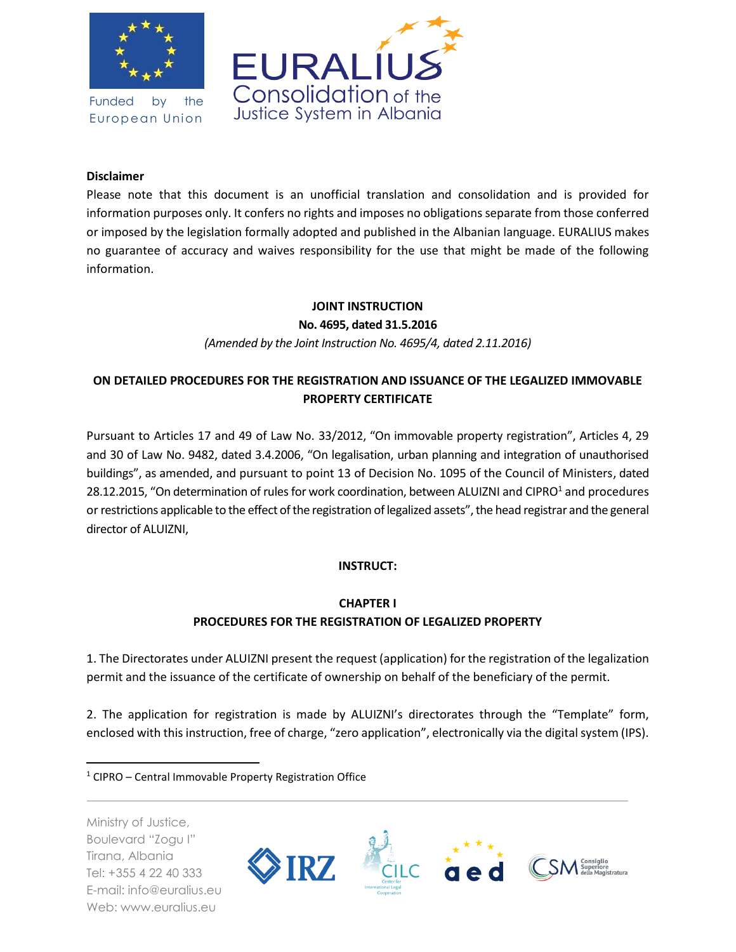

Funded by the European Union



#### **Disclaimer**

Please note that this document is an unofficial translation and consolidation and is provided for information purposes only. It confers no rights and imposes no obligations separate from those conferred or imposed by the legislation formally adopted and published in the Albanian language. EURALIUS makes no guarantee of accuracy and waives responsibility for the use that might be made of the following information.

#### **JOINT INSTRUCTION**

**No. 4695, dated 31.5.2016**

*(Amended by the Joint Instruction No. 4695/4, dated 2.11.2016)*

# **ON DETAILED PROCEDURES FOR THE REGISTRATION AND ISSUANCE OF THE LEGALIZED IMMOVABLE PROPERTY CERTIFICATE**

Pursuant to Articles 17 and 49 of Law No. 33/2012, "On immovable property registration", Articles 4, 29 and 30 of Law No. 9482, dated 3.4.2006, "On legalisation, urban planning and integration of unauthorised buildings", as amended, and pursuant to point 13 of Decision No. 1095 of the Council of Ministers, dated 28.12.2015, "On determination of rules for work coordination, between ALUIZNI and CIPRO<sup>1</sup> and procedures or restrictions applicable to the effect of the registration of legalized assets", the head registrar and the general director of ALUIZNI,

#### **INSTRUCT:**

### **CHAPTER I PROCEDURES FOR THE REGISTRATION OF LEGALIZED PROPERTY**

1. The Directorates under ALUIZNI present the request (application) for the registration of the legalization permit and the issuance of the certificate of ownership on behalf of the beneficiary of the permit.

2. The application for registration is made by ALUIZNI's directorates through the "Template" form, enclosed with this instruction, free of charge, "zero application", electronically via the digital system (IPS).

Ministry of Justice, Boulevard "Zogu I" Tirana, Albania Tel: +355 4 22 40 333 E-mail: info@euralius.eu Web: www.euralius.eu

 $\overline{a}$ 



 $1$  CIPRO – Central Immovable Property Registration Office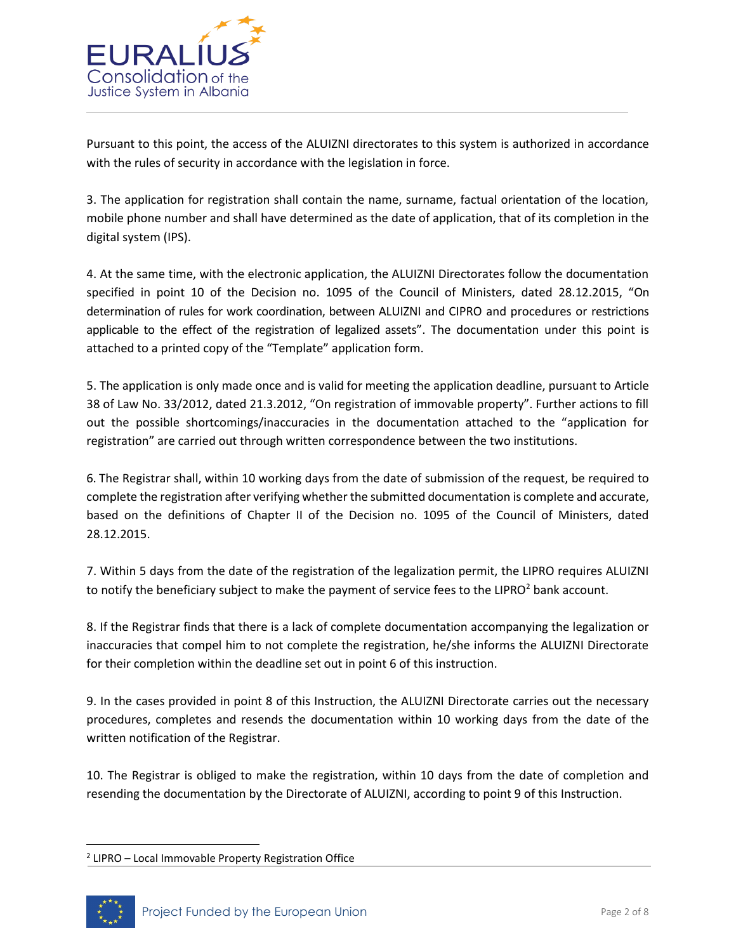

Pursuant to this point, the access of the ALUIZNI directorates to this system is authorized in accordance with the rules of security in accordance with the legislation in force.

3. The application for registration shall contain the name, surname, factual orientation of the location, mobile phone number and shall have determined as the date of application, that of its completion in the digital system (IPS).

4. At the same time, with the electronic application, the ALUIZNI Directorates follow the documentation specified in point 10 of the Decision no. 1095 of the Council of Ministers, dated 28.12.2015, "On determination of rules for work coordination, between ALUIZNI and CIPRO and procedures or restrictions applicable to the effect of the registration of legalized assets". The documentation under this point is attached to a printed copy of the "Template" application form.

5. The application is only made once and is valid for meeting the application deadline, pursuant to Article 38 of Law No. 33/2012, dated 21.3.2012, "On registration of immovable property". Further actions to fill out the possible shortcomings/inaccuracies in the documentation attached to the "application for registration" are carried out through written correspondence between the two institutions.

6. The Registrar shall, within 10 working days from the date of submission of the request, be required to complete the registration after verifying whether the submitted documentation is complete and accurate, based on the definitions of Chapter II of the Decision no. 1095 of the Council of Ministers, dated 28.12.2015.

7. Within 5 days from the date of the registration of the legalization permit, the LIPRO requires ALUIZNI to notify the beneficiary subject to make the payment of service fees to the LIPRO $2$  bank account.

8. If the Registrar finds that there is a lack of complete documentation accompanying the legalization or inaccuracies that compel him to not complete the registration, he/she informs the ALUIZNI Directorate for their completion within the deadline set out in point 6 of this instruction.

9. In the cases provided in point 8 of this Instruction, the ALUIZNI Directorate carries out the necessary procedures, completes and resends the documentation within 10 working days from the date of the written notification of the Registrar.

10. The Registrar is obliged to make the registration, within 10 days from the date of completion and resending the documentation by the Directorate of ALUIZNI, according to point 9 of this Instruction.

<sup>&</sup>lt;sup>2</sup> LIPRO - Local Immovable Property Registration Office



 $\overline{\phantom{a}}$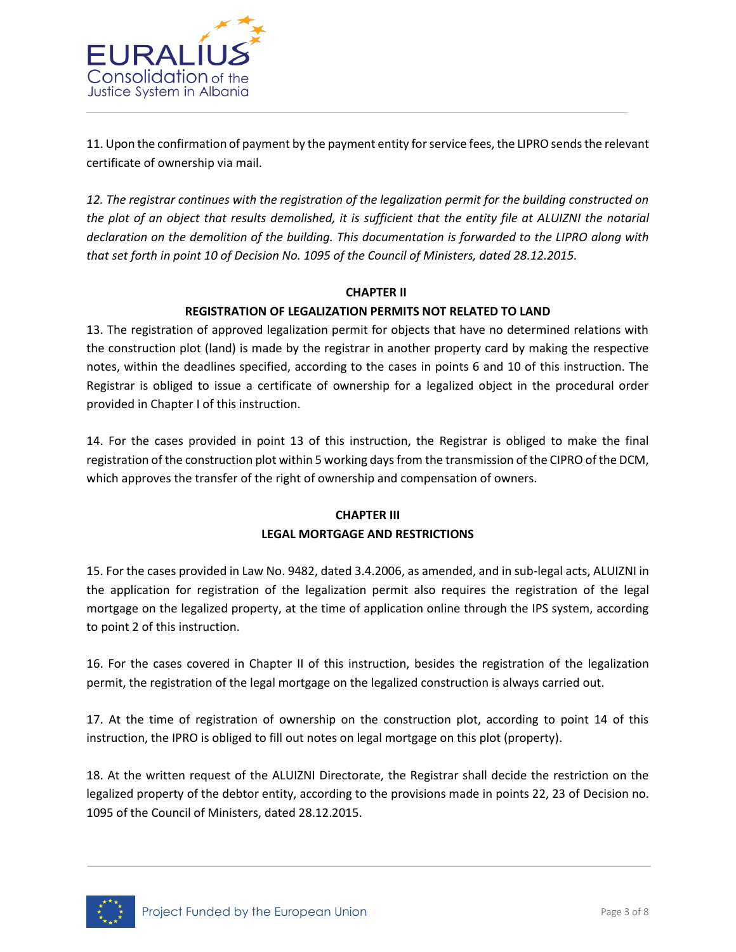

11. Upon the confirmation of payment by the payment entity for service fees, the LIPRO sends the relevant certificate of ownership via mail.

*12. The registrar continues with the registration of the legalization permit for the building constructed on the plot of an object that results demolished, it is sufficient that the entity file at ALUIZNI the notarial declaration on the demolition of the building. This documentation is forwarded to the LIPRO along with that set forth in point 10 of Decision No. 1095 of the Council of Ministers, dated 28.12.2015.*

#### **CHAPTER II**

### **REGISTRATION OF LEGALIZATION PERMITS NOT RELATED TO LAND**

13. The registration of approved legalization permit for objects that have no determined relations with the construction plot (land) is made by the registrar in another property card by making the respective notes, within the deadlines specified, according to the cases in points 6 and 10 of this instruction. The Registrar is obliged to issue a certificate of ownership for a legalized object in the procedural order provided in Chapter I of this instruction.

14. For the cases provided in point 13 of this instruction, the Registrar is obliged to make the final registration of the construction plot within 5 working days from the transmission of the CIPRO of the DCM, which approves the transfer of the right of ownership and compensation of owners.

### **CHAPTER III LEGAL MORTGAGE AND RESTRICTIONS**

15. For the cases provided in Law No. 9482, dated 3.4.2006, as amended, and in sub-legal acts, ALUIZNI in the application for registration of the legalization permit also requires the registration of the legal mortgage on the legalized property, at the time of application online through the IPS system, according to point 2 of this instruction.

16. For the cases covered in Chapter II of this instruction, besides the registration of the legalization permit, the registration of the legal mortgage on the legalized construction is always carried out.

17. At the time of registration of ownership on the construction plot, according to point 14 of this instruction, the IPRO is obliged to fill out notes on legal mortgage on this plot (property).

18. At the written request of the ALUIZNI Directorate, the Registrar shall decide the restriction on the legalized property of the debtor entity, according to the provisions made in points 22, 23 of Decision no. 1095 of the Council of Ministers, dated 28.12.2015.

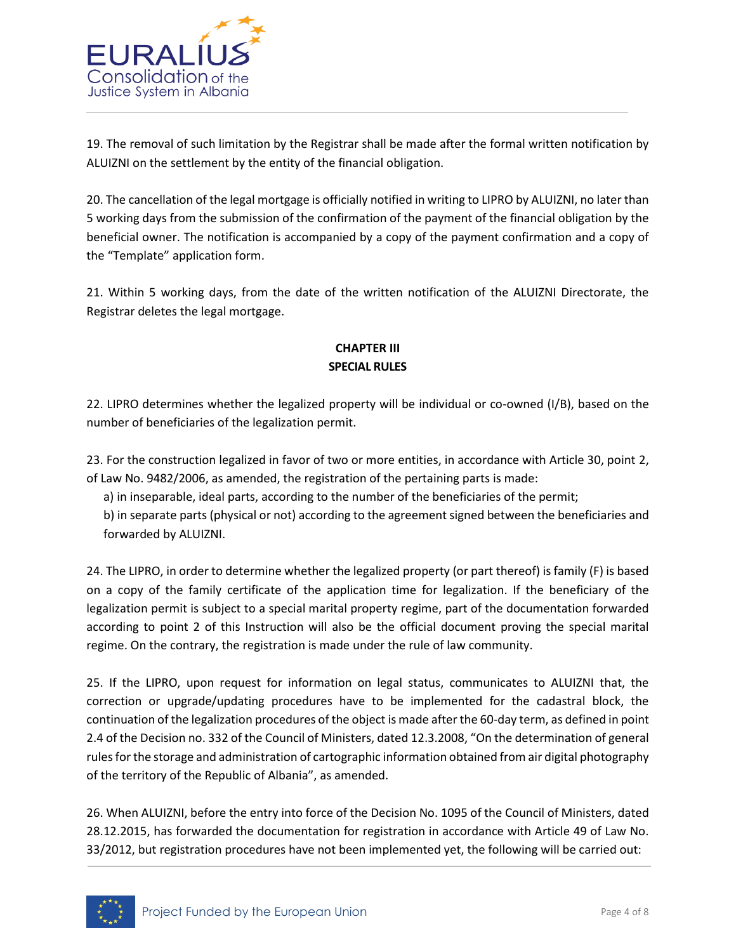

19. The removal of such limitation by the Registrar shall be made after the formal written notification by ALUIZNI on the settlement by the entity of the financial obligation.

20. The cancellation of the legal mortgage is officially notified in writing to LIPRO by ALUIZNI, no later than 5 working days from the submission of the confirmation of the payment of the financial obligation by the beneficial owner. The notification is accompanied by a copy of the payment confirmation and a copy of the "Template" application form.

21. Within 5 working days, from the date of the written notification of the ALUIZNI Directorate, the Registrar deletes the legal mortgage.

## **CHAPTER III SPECIAL RULES**

22. LIPRO determines whether the legalized property will be individual or co-owned (I/B), based on the number of beneficiaries of the legalization permit.

23. For the construction legalized in favor of two or more entities, in accordance with Article 30, point 2, of Law No. 9482/2006, as amended, the registration of the pertaining parts is made:

a) in inseparable, ideal parts, according to the number of the beneficiaries of the permit;

b) in separate parts (physical or not) according to the agreement signed between the beneficiaries and forwarded by ALUIZNI.

24. The LIPRO, in order to determine whether the legalized property (or part thereof) is family (F) is based on a copy of the family certificate of the application time for legalization. If the beneficiary of the legalization permit is subject to a special marital property regime, part of the documentation forwarded according to point 2 of this Instruction will also be the official document proving the special marital regime. On the contrary, the registration is made under the rule of law community.

25. If the LIPRO, upon request for information on legal status, communicates to ALUIZNI that, the correction or upgrade/updating procedures have to be implemented for the cadastral block, the continuation of the legalization procedures of the object is made after the 60-day term, as defined in point 2.4 of the Decision no. 332 of the Council of Ministers, dated 12.3.2008, "On the determination of general rules for the storage and administration of cartographic information obtained from air digital photography of the territory of the Republic of Albania", as amended.

26. When ALUIZNI, before the entry into force of the Decision No. 1095 of the Council of Ministers, dated 28.12.2015, has forwarded the documentation for registration in accordance with Article 49 of Law No. 33/2012, but registration procedures have not been implemented yet, the following will be carried out:

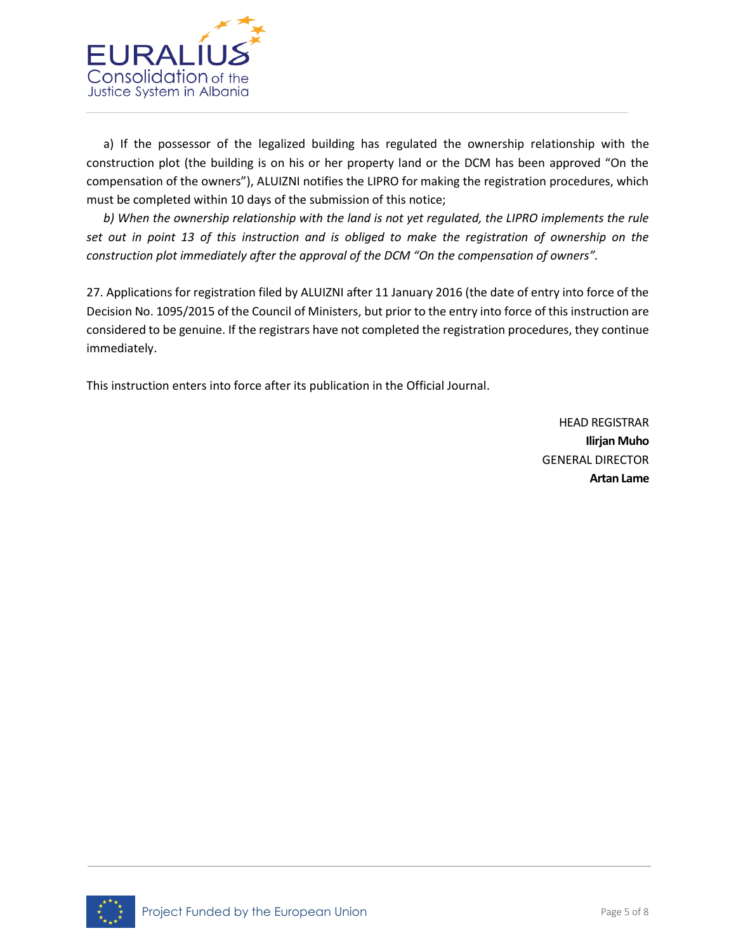

a) If the possessor of the legalized building has regulated the ownership relationship with the construction plot (the building is on his or her property land or the DCM has been approved "On the compensation of the owners"), ALUIZNI notifies the LIPRO for making the registration procedures, which must be completed within 10 days of the submission of this notice;

*b) When the ownership relationship with the land is not yet regulated, the LIPRO implements the rule set out in point 13 of this instruction and is obliged to make the registration of ownership on the construction plot immediately after the approval of the DCM "On the compensation of owners".*

27. Applications for registration filed by ALUIZNI after 11 January 2016 (the date of entry into force of the Decision No. 1095/2015 of the Council of Ministers, but prior to the entry into force of this instruction are considered to be genuine. If the registrars have not completed the registration procedures, they continue immediately.

This instruction enters into force after its publication in the Official Journal.

HEAD REGISTRAR **Ilirjan Muho** GENERAL DIRECTOR **Artan Lame**

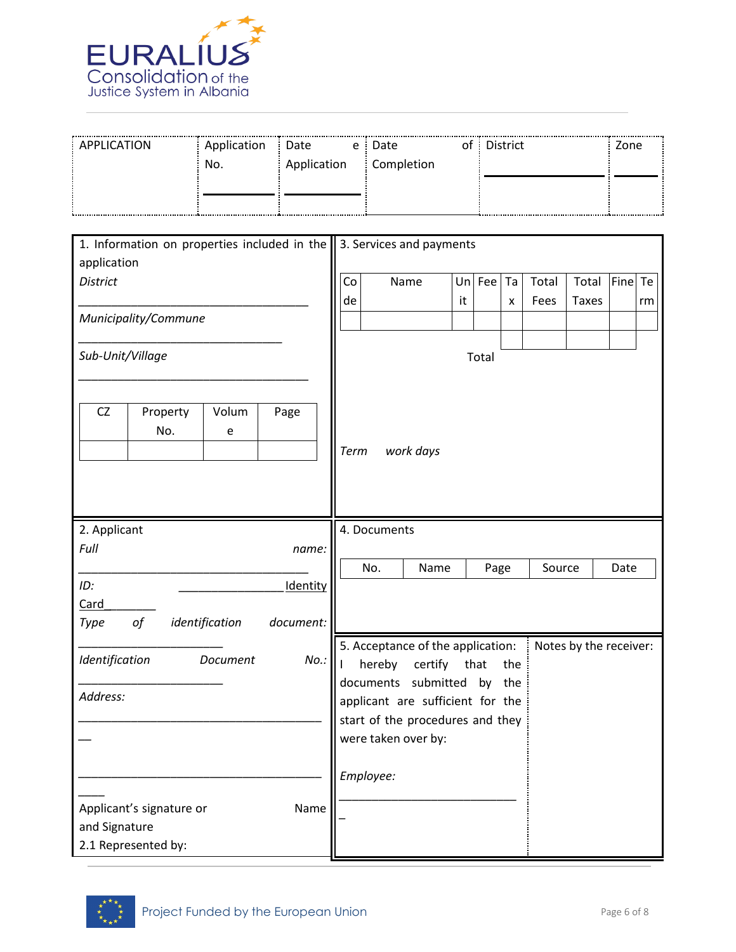

| : APPLICATION | Application | : Date      | e : Date     | of : District | Zone |
|---------------|-------------|-------------|--------------|---------------|------|
|               | No.         | Application | : Completion |               |      |
|               |             |             |              |               |      |
|               |             |             |              |               |      |

| 1. Information on properties included in the<br>application | 3. Services and payments                                                                                                              |  |  |  |  |
|-------------------------------------------------------------|---------------------------------------------------------------------------------------------------------------------------------------|--|--|--|--|
| <b>District</b>                                             | Co<br>Un Fee<br>Fine Te<br>Name<br>Ta<br>Total<br>Total<br>de<br>it<br>Fees<br><b>Taxes</b><br>x<br>rm                                |  |  |  |  |
| Municipality/Commune                                        |                                                                                                                                       |  |  |  |  |
| Sub-Unit/Village                                            | Total                                                                                                                                 |  |  |  |  |
| CZ<br>Property<br>Volum<br>Page<br>No.<br>e                 | work days<br>Term                                                                                                                     |  |  |  |  |
| 2. Applicant                                                | 4. Documents                                                                                                                          |  |  |  |  |
| Full<br>name:                                               | No.<br>Name<br>Page<br>Source<br>Date                                                                                                 |  |  |  |  |
| ID:<br>Identity                                             |                                                                                                                                       |  |  |  |  |
| Card                                                        |                                                                                                                                       |  |  |  |  |
| of<br>identification<br>document:<br>Type                   |                                                                                                                                       |  |  |  |  |
| Identification<br>$No.$ :<br>Document                       | 5. Acceptance of the application:<br>Notes by the receiver:<br>hereby<br>certify<br>that<br>the<br>L<br>documents submitted<br>by the |  |  |  |  |
| Address:                                                    | applicant are sufficient for the                                                                                                      |  |  |  |  |
|                                                             | start of the procedures and they                                                                                                      |  |  |  |  |
|                                                             | were taken over by:                                                                                                                   |  |  |  |  |
|                                                             | Employee:                                                                                                                             |  |  |  |  |
| Applicant's signature or<br>Name                            |                                                                                                                                       |  |  |  |  |
| and Signature<br>2.1 Represented by:                        |                                                                                                                                       |  |  |  |  |
|                                                             |                                                                                                                                       |  |  |  |  |

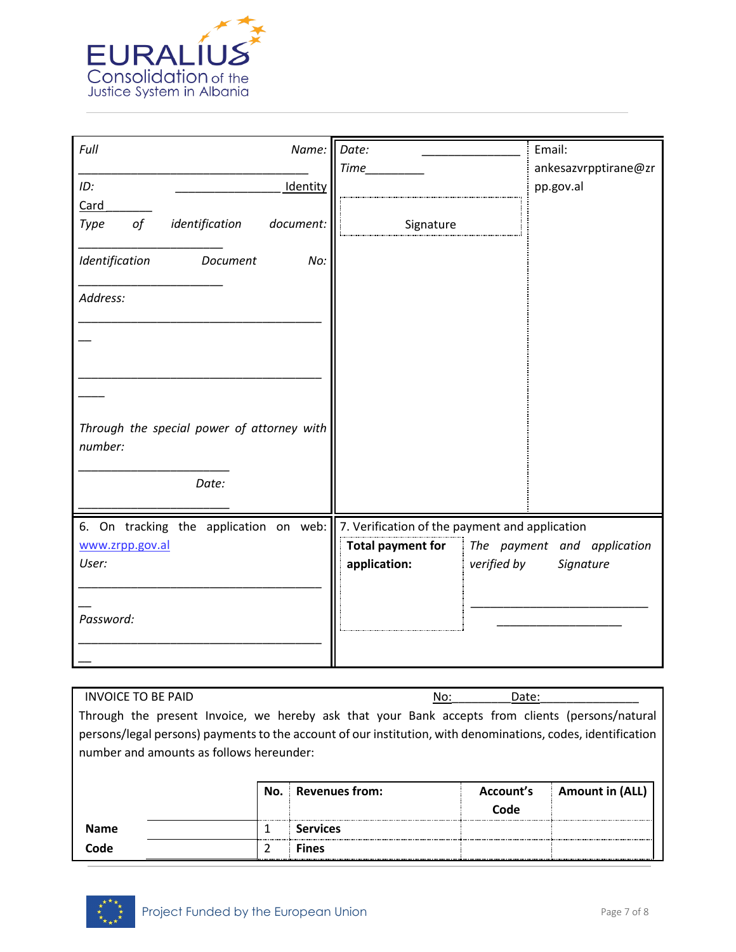

| Full<br>Name: Date:                                   |                                                | Email:               |
|-------------------------------------------------------|------------------------------------------------|----------------------|
|                                                       | <b>Time</b>                                    | ankesazvrpptirane@zr |
| ID:<br>Identity                                       |                                                | pp.gov.al            |
| Card                                                  |                                                |                      |
| $\circ f$<br>identification<br>document:<br>Type      | Signature                                      |                      |
| Identification<br>Document<br>No:                     |                                                |                      |
| Address:                                              |                                                |                      |
|                                                       |                                                |                      |
|                                                       |                                                |                      |
|                                                       |                                                |                      |
| Through the special power of attorney with<br>number: |                                                |                      |
|                                                       |                                                |                      |
| Date:                                                 |                                                |                      |
| 6. On tracking the application on web:                | 7. Verification of the payment and application |                      |
| www.zrpp.gov.al                                       | Total payment for The payment and application  |                      |
| User:                                                 | application:<br>verified by                    | Signature            |
|                                                       |                                                |                      |
|                                                       |                                                |                      |
| Password:                                             |                                                |                      |
|                                                       |                                                |                      |
|                                                       |                                                |                      |

| INVOICE TO BE PAID |                                                                                                              |                    | No: | Date:     |                        |
|--------------------|--------------------------------------------------------------------------------------------------------------|--------------------|-----|-----------|------------------------|
|                    | Through the present Invoice, we hereby ask that your Bank accepts from clients (persons/natural              |                    |     |           |                        |
|                    | persons/legal persons) payments to the account of our institution, with denominations, codes, identification |                    |     |           |                        |
|                    | number and amounts as follows hereunder:                                                                     |                    |     |           |                        |
|                    |                                                                                                              |                    |     |           |                        |
|                    |                                                                                                              | No. Revenues from: |     | Account's | <b>Amount in (ALL)</b> |
|                    |                                                                                                              |                    |     | Code      |                        |
| <b>Name</b>        | 1                                                                                                            | <b>Services</b>    |     |           |                        |
| Code               | 2                                                                                                            | <b>Fines</b>       |     |           |                        |